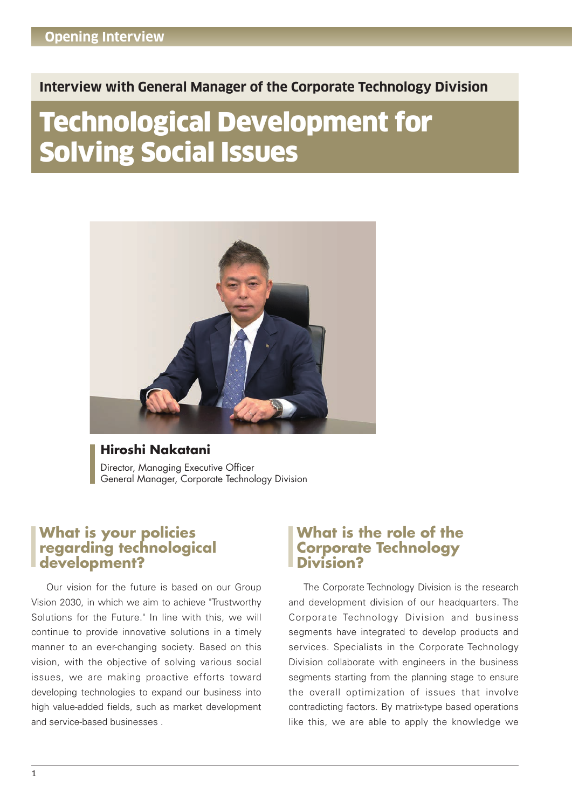#### **Interview with General Manager of the Corporate Technology Division**

# Technological Development for Solving Social Issues



#### **Hiroshi Nakatani** Director, Managing Executive Officer General Manager, Corporate Technology Division

### **What is your policies regarding technological development?**

 Our vision for the future is based on our Group Vision 2030, in which we aim to achieve "Trustworthy Solutions for the Future." In line with this, we will continue to provide innovative solutions in a timely manner to an ever-changing society. Based on this vision, with the objective of solving various social issues, we are making proactive efforts toward developing technologies to expand our business into high value-added fields, such as market development and service-based businesses

#### **What is the role of the Corporate Technology Division?**

 The Corporate Technology Division is the research and development division of our headquarters. The Corporate Technology Division and business segments have integrated to develop products and services. Specialists in the Corporate Technology Division collaborate with engineers in the business segments starting from the planning stage to ensure the overall optimization of issues that involve contradicting factors. By matrix-type based operations like this, we are able to apply the knowledge we